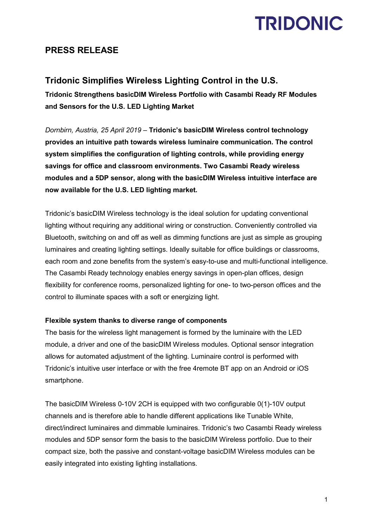# **TRIDONIC**

### **PRESS RELEASE**

## **Tridonic Simplifies Wireless Lighting Control in the U.S.**

**Tridonic Strengthens basicDIM Wireless Portfolio with Casambi Ready RF Modules and Sensors for the U.S. LED Lighting Market**

*Dornbirn, Austria, 25 April 2019* – **Tridonic's basicDIM Wireless control technology provides an intuitive path towards wireless luminaire communication. The control system simplifies the configuration of lighting controls, while providing energy savings for office and classroom environments. Two Casambi Ready wireless modules and a 5DP sensor, along with the basicDIM Wireless intuitive interface are now available for the U.S. LED lighting market.**

Tridonic's basicDIM Wireless technology is the ideal solution for updating conventional lighting without requiring any additional wiring or construction. Conveniently controlled via Bluetooth, switching on and off as well as dimming functions are just as simple as grouping luminaires and creating lighting settings. Ideally suitable for office buildings or classrooms, each room and zone benefits from the system's easy-to-use and multi-functional intelligence. The Casambi Ready technology enables energy savings in open-plan offices, design flexibility for conference rooms, personalized lighting for one- to two-person offices and the control to illuminate spaces with a soft or energizing light.

### **Flexible system thanks to diverse range of components**

The basis for the wireless light management is formed by the luminaire with the LED module, a driver and one of the basicDIM Wireless modules. Optional sensor integration allows for automated adjustment of the lighting. Luminaire control is performed with Tridonic's intuitive user interface or with the free 4remote BT app on an Android or iOS smartphone.

The basicDIM Wireless 0-10V 2CH is equipped with two configurable 0(1)-10V output channels and is therefore able to handle different applications like Tunable White, direct/indirect luminaires and dimmable luminaires. Tridonic's two Casambi Ready wireless modules and 5DP sensor form the basis to the basicDIM Wireless portfolio. Due to their compact size, both the passive and constant-voltage basicDIM Wireless modules can be easily integrated into existing lighting installations.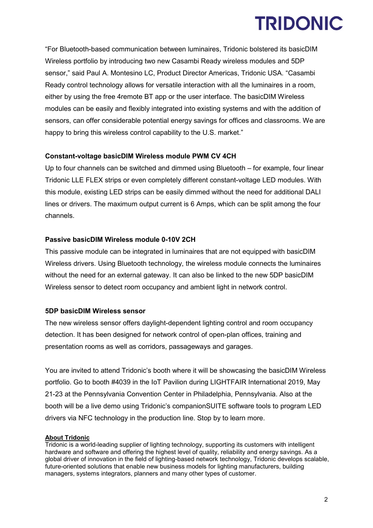# **TRIDONIC**

"For Bluetooth-based communication between luminaires, Tridonic bolstered its basicDIM Wireless portfolio by introducing two new Casambi Ready wireless modules and 5DP sensor," said Paul A. Montesino LC, Product Director Americas, Tridonic USA. "Casambi Ready control technology allows for versatile interaction with all the luminaires in a room, either by using the free 4remote BT app or the user interface. The basicDIM Wireless modules can be easily and flexibly integrated into existing systems and with the addition of sensors, can offer considerable potential energy savings for offices and classrooms. We are happy to bring this wireless control capability to the U.S. market."

### **Constant-voltage basicDIM Wireless module PWM CV 4CH**

Up to four channels can be switched and dimmed using Bluetooth – for example, four linear Tridonic LLE FLEX strips or even completely different constant-voltage LED modules. With this module, existing LED strips can be easily dimmed without the need for additional DALI lines or drivers. The maximum output current is 6 Amps, which can be split among the four channels.

#### **Passive basicDIM Wireless module 0-10V 2CH**

This passive module can be integrated in luminaires that are not equipped with basicDIM Wireless drivers. Using Bluetooth technology, the wireless module connects the luminaires without the need for an external gateway. It can also be linked to the new 5DP basicDIM Wireless sensor to detect room occupancy and ambient light in network control.

#### **5DP basicDIM Wireless sensor**

The new wireless sensor offers daylight-dependent lighting control and room occupancy detection. It has been designed for network control of open-plan offices, training and presentation rooms as well as corridors, passageways and garages.

You are invited to attend Tridonic's booth where it will be showcasing the basicDIM Wireless portfolio. Go to booth #4039 in the IoT Pavilion during LIGHTFAIR International 2019, May 21-23 at the Pennsylvania Convention Center in Philadelphia, Pennsylvania. Also at the booth will be a live demo using Tridonic's companionSUITE software tools to program LED drivers via NFC technology in the production line. Stop by to learn more.

#### **About Tridonic**

Tridonic is a world-leading supplier of lighting technology, supporting its customers with intelligent hardware and software and offering the highest level of quality, reliability and energy savings. As a global driver of innovation in the field of lighting-based network technology, Tridonic develops scalable, future-oriented solutions that enable new business models for lighting manufacturers, building managers, systems integrators, planners and many other types of customer.